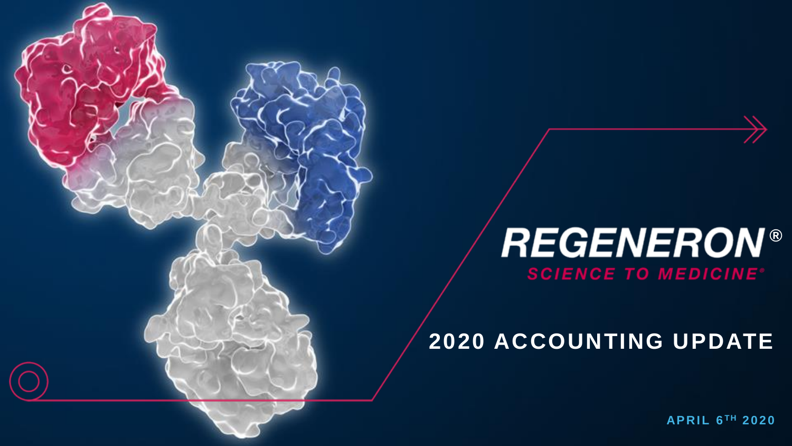# *®* **SCIENCE TO MEDICINE®**

## **2020 ACCOUNTING UPDATE**

 $APRIL 6<sup>TH</sup> 2020$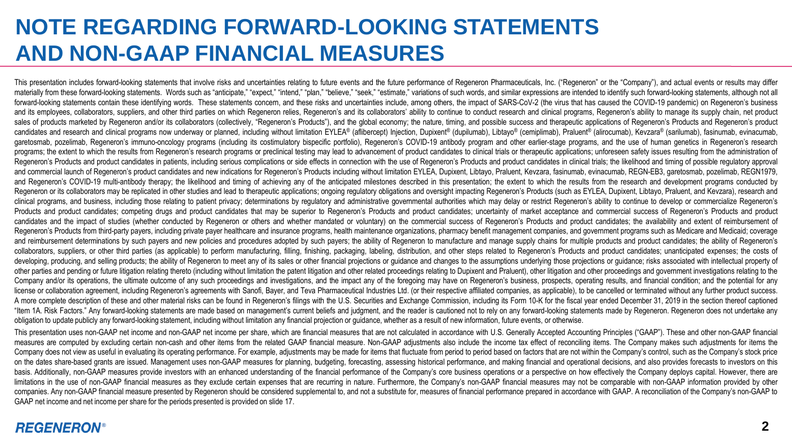## **NOTE REGARDING FORWARD-LOOKING STATEMENTS AND NON-GAAP FINANCIAL MEASURES**

This presentation includes forward-looking statements that involve risks and uncertainties relating to future events and the future performance of Regeneron Pharmaceuticals. Inc. "Regeneron" or the "Company"), and actual e materially from these forward-looking statements. Words such as "anticipate," "expect," "intend," "plan," "believe," "seek," estimate," orgiante, " variations of such words, and similar expressions are intended to identify forward-looking statements contain these identifying words. These statements concern, and these risks and uncertainties include, among others, the impact of SARS-CoV-2 (the virus that has caused the COVID-19 pandemic) on R and its employees, collaborators, suppliers, and other third parties on which Regeneron relies. Regeneron's and its collaborators' ability to continue to conduct research and clinical programs. Regeneron's ability to manag sales of products marketed by Regeneron and/or its collaborators (collectively, "Regeneron's Products"), and the global economy; the nature, timing, and possible success and therapeutic applications of Regeneron's Products candidates and research and clinical programs now underway or planned, including without limitation EYLEA® (aflibercept) Injection, Dupixent® (dupilumab), Libtayo® (cemiplimab), Praluent® (alirocumab), Keyzara® (sarilumab) garetosmab, pozelimab, Regeneron's immuno-oncology programs (including its costimulatory bispecific portfolio). Regeneron's COVID-19 antibody program and other earlier-stage programs, and the use of human genetics in Regen programs: the extent to which the results from Regeneron's research programs or preclinical testing may lead to advancement of product candidates to clinical trials or therapeutic applications; unforeseen safety issues res Regeneron's Products and product candidates in patients, including serious complications or side effects in connection with the use of Regeneron's Products and product candidates in clinical trials: the likelihood and timi and commercial launch of Regeneron's product candidates and new indications for Regeneron's Products including without limitation EYLEA, Dupixent, Librayo, Praluent, Keyzara, fasinumab, evinacumab, REGN-EB3, garetosmab, po and Regeneron's COVID-19 multi-antibody therapy; the likelihood and timing of achieving any of the anticipated milestones described in this presentation; the extent to which the results from the research and development pr Regeneron or its collaborators may be replicated in other studies and lead to therapeutic applications: ongoing regulatory obligations and oversight impacting Regeneron's Products (such as EYLEA, Dupixent, Librayo, Praluen clinical programs, and business, including those relating to patient privacy: determinations by requiatory and administrative governmental authorities which may delay or restrict Regeneron's ability to continue to develop Products and product candidates; competing drugs and product candidates that may be superior to Regeneron's Products and product candidates; uncertainty of market acceptance and commercial success of Regeneron's Products a candidates and the impact of studies (whether conducted by Regeneron or others and whether mandated or voluntary) on the commercial success of Regeneron's Products and product candidates: the availability and extent of rei Regeneron's Products from third-party payers, including private payer healthcare and insurance programs, health maintenance organizations, pharmacy benefit management companies, and government programs such as Medicare and and reimbursement determinations by such payers and new policies and procedures adopted by such payers; the ability of Reqeneron to manufacture and manage supply chains for multiple products and product candidates; the abi collaborators, suppliers, or other third parties (as applicable) to perform manufacturing, filling, finishing, packaging, labeling, distribution, and other steps related to Regeneron's Products and product candidates; unan developing, producing, and selling products; the ability of Regeneron to meet any of its sales or other financial projections or quidance and changes to the assumptions underlying those projections or quidance; risks assoc other parties and pending or future litigation relating thereto (including without limitation the patent litigation and other related proceedings relating to Dupixent and Praluent), other litigation and other proceedings a Company and/or its operations, the ultimate outcome of any such proceedings and investigations, and the impact any of the foregoing may have on Regeneron's business, prospects, operating results, and financial condition; a license or collaboration agreement, including Regeneron's agreements with Sanofi, Bayer, and Teva Pharmaceutical Industries Ltd. (or their respective affiliated companies, as applicable), to be cancelled or terminated with A more complete description of these and other material risks can be found in Regeneron's filings with the U.S. Securities and Exchange Commission, including its Form 10-K for the fiscal year ended December 31, 2019 in the "Item 1A. Risk Factors." Any forward-looking statements are made based on management's current beliefs and judgment, and the reader is cautioned not to rely on any forward-looking statements made by Regeneron. Regeneron do obligation to update publicly any forward-looking statement, including without limitation any financial projection or guidance, whether as a result of new information, future events, or otherwise.

This presentation uses non-GAAP net income and non-GAAP net income per share, which are financial measures that are not calculated in accordance with U.S. Generally Accepted Accounting Principles ("GAAP"). These and other measures are computed by excluding certain non-cash and other items from the related GAAP financial measure. Non-GAAP adjustments also include the income tax effect of reconciling items. The Company makes such adjustments Company does not view as useful in evaluating its operating performance. For example, adjustments may be made for items that fluctuate from period to period based on factors that are not within the Company's control, such on the dates share-based grants are issued. Management uses non-GAAP measures for planning, budgeting, forecasting, assessing historical performance, and making financial and operational decisions, and also provides foreca basis. Additionally, non-GAAP measures provide investors with an enhanced understanding of the financial performance of the Company's core business operations or a perspective on how effectively the Company deploys capital limitations in the use of non-GAAP financial measures as they exclude certain expenses that are recurring in nature. Furthermore, the Company's non-GAAP financial measures may not be comparable with non-GAAP information pr companies. Any non-GAAP financial measure presented by Regeneron should be considered supplemental to, and not a substitute for, measures of financial performance prepared in accordance with GAAP. A reconciliation of the C GAAP net income and net income per share for the periods presented is provided on slide 17.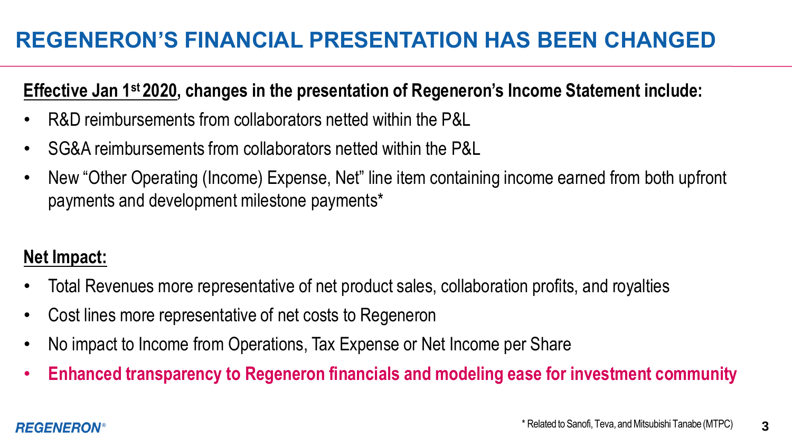## **REGENERON'S FINANCIAL PRESENTATION HAS BEEN CHANGED**

### **Effective Jan 1st 2020, changes in the presentation of Regeneron's Income Statement include:**

- R&D reimbursements from collaborators netted within the P&L
- SG&A reimbursements from collaborators netted within the P&L
- New "Other Operating (Income) Expense, Net" line item containing income earned from both upfront payments and development milestone payments\*

## **Net Impact:**

- Total Revenues more representative of net product sales, collaboration profits, and royalties
- Cost lines more representative of net costs to Regeneron
- No impact to Income from Operations, Tax Expense or Net Income per Share
- **Enhanced transparency to Regeneron financials and modeling ease for investment community**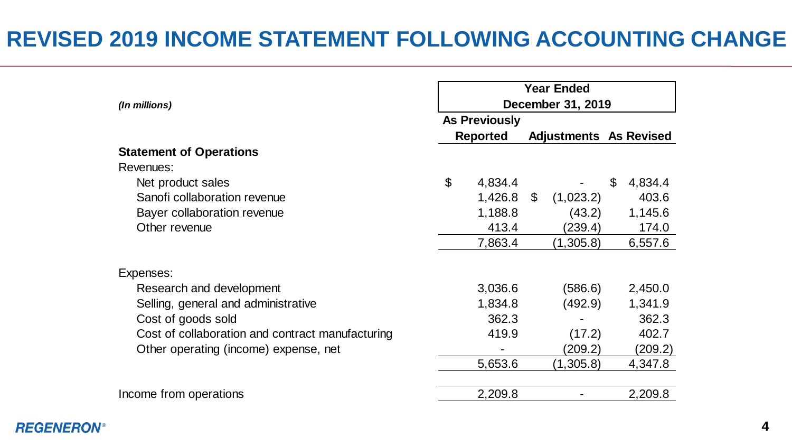## **REVISED 2019 INCOME STATEMENT FOLLOWING ACCOUNTING CHANGE**

|                                                  | <b>Year Ended</b> |                      |    |                               |    |         |  |  |
|--------------------------------------------------|-------------------|----------------------|----|-------------------------------|----|---------|--|--|
| (In millions)                                    | December 31, 2019 |                      |    |                               |    |         |  |  |
|                                                  |                   | <b>As Previously</b> |    |                               |    |         |  |  |
|                                                  |                   | <b>Reported</b>      |    | <b>Adjustments</b> As Revised |    |         |  |  |
| <b>Statement of Operations</b>                   |                   |                      |    |                               |    |         |  |  |
| Revenues:                                        |                   |                      |    |                               |    |         |  |  |
| Net product sales                                | \$                | 4,834.4              |    |                               | \$ | 4,834.4 |  |  |
| Sanofi collaboration revenue                     |                   | 1,426.8              | \$ | (1,023.2)                     |    | 403.6   |  |  |
| Bayer collaboration revenue                      |                   | 1,188.8              |    | (43.2)                        |    | 1,145.6 |  |  |
| Other revenue                                    |                   | 413.4                |    | (239.4)                       |    | 174.0   |  |  |
|                                                  |                   | 7,863.4              |    | (1,305.8)                     |    | 6,557.6 |  |  |
| Expenses:                                        |                   |                      |    |                               |    |         |  |  |
| Research and development                         |                   | 3,036.6              |    | (586.6)                       |    | 2,450.0 |  |  |
| Selling, general and administrative              |                   | 1,834.8              |    | (492.9)                       |    | 1,341.9 |  |  |
| Cost of goods sold                               |                   | 362.3                |    |                               |    | 362.3   |  |  |
| Cost of collaboration and contract manufacturing |                   | 419.9                |    | (17.2)                        |    | 402.7   |  |  |
| Other operating (income) expense, net            |                   |                      |    | (209.2)                       |    | (209.2) |  |  |
|                                                  |                   | 5,653.6              |    | (1,305.8)                     |    | 4,347.8 |  |  |
|                                                  |                   |                      |    |                               |    |         |  |  |
| Income from operations                           |                   | 2,209.8              |    |                               |    | 2,209.8 |  |  |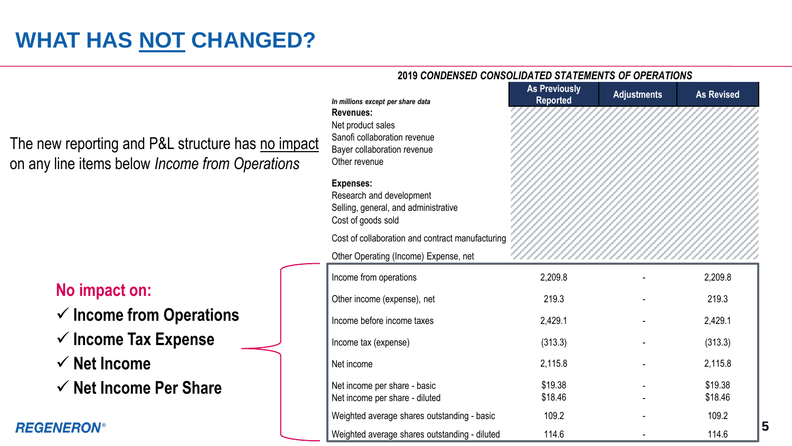## **WHAT HAS NOT CHANGED?**

#### *®* **5** *In millions except per share data* **As Previously Reported Adjustments As Revised Revenues:** Net product sales Sanofi collaboration revenue Bayer collaboration revenue Other revenue **Expenses:** Research and development Selling, general, and administrative Cost of goods sold Cost of collaboration and contract manufacturing Other Operating (Income) Expense, net Income from operations and the control of the control of 2,209.8 and 2,209.8 and 2,209.8 and 2,209.8 Other income (expense), net 219.3 - 219.3 219.3 Income before income taxes and the case of the 2,429.1 and 2,429.1 and 2,429.1 and 2,429.1 Income tax (expense) (313.3) - (313.3) Net income  $2,115.8$   $2,115.8$ Net income per share - basic 619.38 519.38 - \$19.38 Net income per share - diluted  $$18.46$   $$18.46$   $$18.46$ Weighted average shares outstanding - basic 109.2 - 109.2 - 109.2 Weighted average shares outstanding - diluted 114.6 - 114.6 114.6

**2019** *CONDENSED CONSOLIDATED STATEMENTS OF OPERATIONS* 

The new reporting and P&L structure has no impact on any line items below *Income from Operations*

#### **No impact on:**

- ✓ **Income from Operations**
- ✓ **Income Tax Expense**
- ✓ **Net Income**
- ✓ **Net Income Per Share**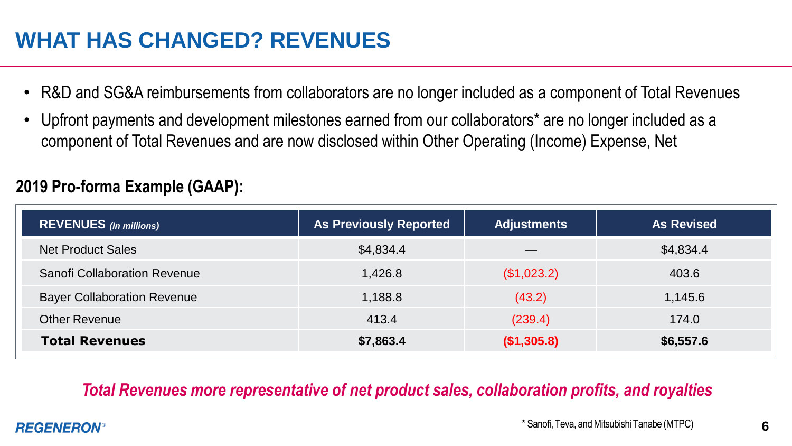## **WHAT HAS CHANGED? REVENUES**

- R&D and SG&A reimbursements from collaborators are no longer included as a component of Total Revenues
- Upfront payments and development milestones earned from our collaborators\* are no longer included as a component of Total Revenues and are now disclosed within Other Operating (Income) Expense, Net

| <b>REVENUES</b> (In millions)      | <b>As Previously Reported</b> | <b>Adjustments</b> | <b>As Revised</b> |
|------------------------------------|-------------------------------|--------------------|-------------------|
| <b>Net Product Sales</b>           | \$4,834.4                     | __                 | \$4,834.4         |
| Sanofi Collaboration Revenue       | 1,426.8                       | (\$1,023.2)        | 403.6             |
| <b>Bayer Collaboration Revenue</b> | 1,188.8                       | (43.2)             | 1,145.6           |
| <b>Other Revenue</b>               | 413.4                         | (239.4)            | 174.0             |
| <b>Total Revenues</b>              | \$7,863.4                     | (\$1,305.8)        | \$6,557.6         |

## **2019 Pro-forma Example (GAAP):**

### *Total Revenues more representative of net product sales, collaboration profits, and royalties*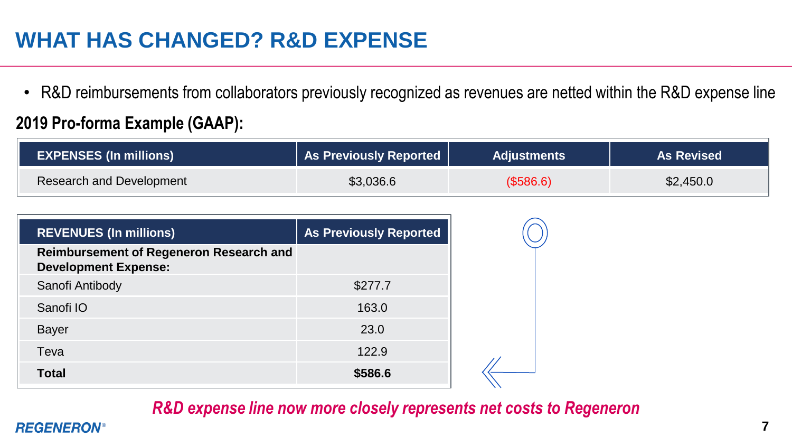## **WHAT HAS CHANGED? R&D EXPENSE**

• R&D reimbursements from collaborators previously recognized as revenues are netted within the R&D expense line

### **2019 Pro-forma Example (GAAP):**

| <b>EXPENSES (In millions)</b> | <b>As Previously Reported</b> | <b>Adjustments</b> | <b>As Revised</b> |
|-------------------------------|-------------------------------|--------------------|-------------------|
| Research and Development      | \$3,036.6                     | (\$586.6)          | \$2,450.0         |

| <b>REVENUES (In millions)</b>                                                 | <b>As Previously Reported</b> |
|-------------------------------------------------------------------------------|-------------------------------|
| <b>Reimbursement of Regeneron Research and</b><br><b>Development Expense:</b> |                               |
| Sanofi Antibody                                                               | \$277.7                       |
| Sanofi IO                                                                     | 163.0                         |
| <b>Bayer</b>                                                                  | 23.0                          |
| Teva                                                                          | 122.9                         |
| <b>Total</b>                                                                  | \$586.6                       |

### *R&D expense line now more closely represents net costs to Regeneron*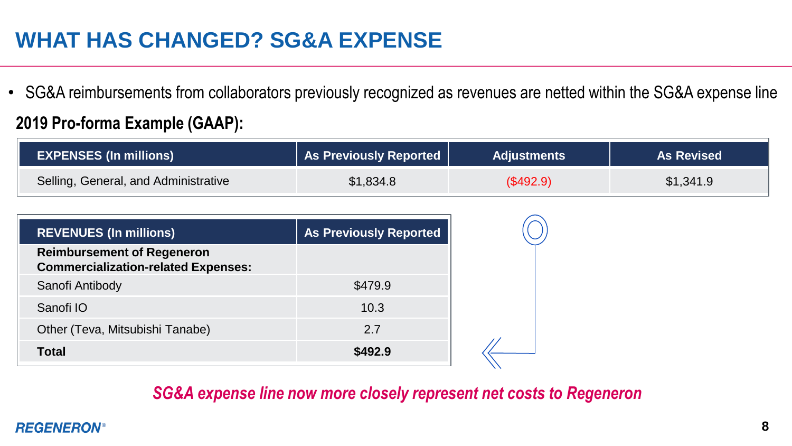## **WHAT HAS CHANGED? SG&A EXPENSE**

• SG&A reimbursements from collaborators previously recognized as revenues are netted within the SG&A expense line

### **2019 Pro-forma Example (GAAP):**

| <b>EXPENSES (In millions)</b>        | As Previously Reported | <b>Adjustments</b> | <b>As Revised</b> |
|--------------------------------------|------------------------|--------------------|-------------------|
| Selling, General, and Administrative | \$1,834.8              | (\$492.9)          | \$1,341.9         |

| <b>REVENUES (In millions)</b>                                                   | <b>As Previously Reported</b> |
|---------------------------------------------------------------------------------|-------------------------------|
| <b>Reimbursement of Regeneron</b><br><b>Commercialization-related Expenses:</b> |                               |
| Sanofi Antibody                                                                 | \$479.9                       |
| Sanofi IO                                                                       | 10.3                          |
| Other (Teva, Mitsubishi Tanabe)                                                 | 2.7                           |
| Total                                                                           | \$492.9                       |

#### *SG&A expense line now more closely represent net costs to Regeneron*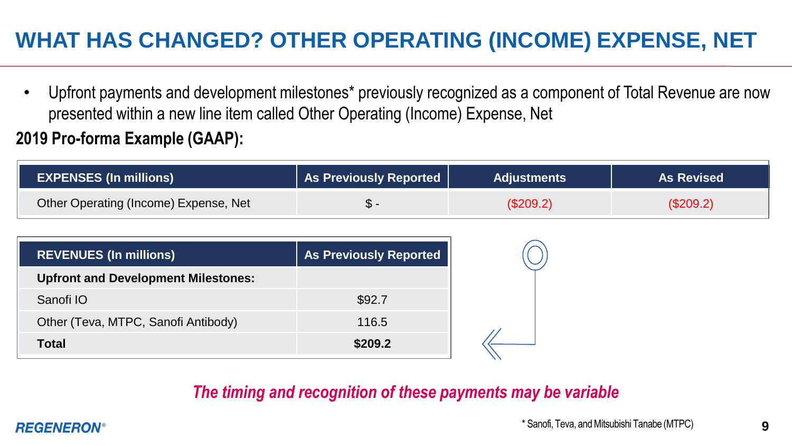## **WHAT HAS CHANGED? OTHER OPERATING (INCOME) EXPENSE, NET**

• Upfront payments and development milestones\* previously recognized as a component of Total Revenue are now presented within a new line item called Other Operating (Income) Expense, Net

### **2019 Pro-forma Example (GAAP):**

| <b>EXPENSES (In millions)</b>         | <b>As Previously Reported</b> | <b>Adjustments</b> | <b>As Revised</b> |
|---------------------------------------|-------------------------------|--------------------|-------------------|
| Other Operating (Income) Expense, Net |                               | (\$209.2)          | (\$209.2)         |

| <b>REVENUES (In millions)</b>              | <b>As Previously Reported</b> |
|--------------------------------------------|-------------------------------|
| <b>Upfront and Development Milestones:</b> |                               |
| Sanofi IO                                  | \$92.7                        |
| Other (Teva, MTPC, Sanofi Antibody)        | 116.5                         |
| Total                                      | \$209.2                       |

### *The timing and recognition of these payments may be variable*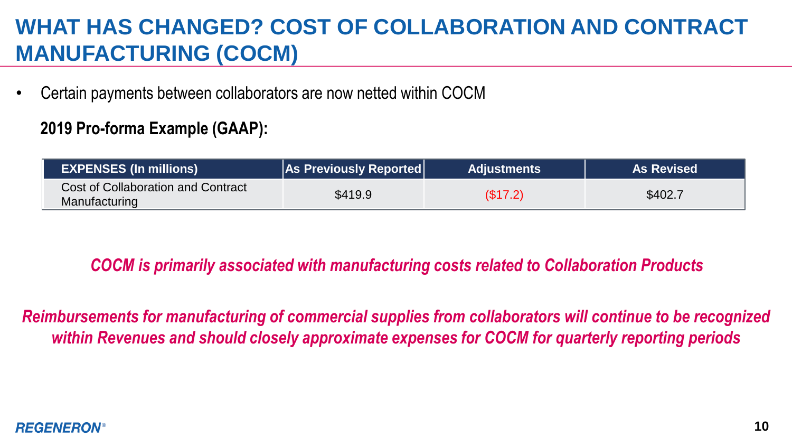## **WHAT HAS CHANGED? COST OF COLLABORATION AND CONTRACT MANUFACTURING (COCM)**

• Certain payments between collaborators are now netted within COCM

### **2019 Pro-forma Example (GAAP):**

| <b>EXPENSES (In millions)</b>                       | <b>As Previously Reported</b> | <b>Adjustments</b> | <b>As Revised</b> |
|-----------------------------------------------------|-------------------------------|--------------------|-------------------|
| Cost of Collaboration and Contract<br>Manufacturing | \$419.9                       | (\$17.2)           | \$402.7           |

### *COCM is primarily associated with manufacturing costs related to Collaboration Products*

*Reimbursements for manufacturing of commercial supplies from collaborators will continue to be recognized within Revenues and should closely approximate expenses for COCM for quarterly reporting periods*

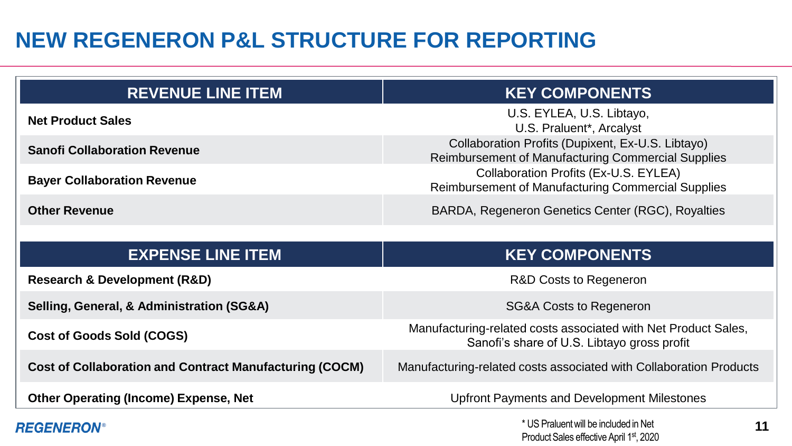## **NEW REGENERON P&L STRUCTURE FOR REPORTING**

| <b>REVENUE LINE ITEM</b>            | <b>KEY COMPONENTS</b>                                                                                   |
|-------------------------------------|---------------------------------------------------------------------------------------------------------|
| <b>Net Product Sales</b>            | U.S. EYLEA, U.S. Libtayo,<br>U.S. Praluent*, Arcalyst                                                   |
| <b>Sanofi Collaboration Revenue</b> | Collaboration Profits (Dupixent, Ex-U.S. Libtayo)<br>Reimbursement of Manufacturing Commercial Supplies |
| <b>Bayer Collaboration Revenue</b>  | Collaboration Profits (Ex-U.S. EYLEA)<br>Reimbursement of Manufacturing Commercial Supplies             |
| <b>Other Revenue</b>                | BARDA, Regeneron Genetics Center (RGC), Royalties                                                       |

| <b>EXPENSE LINE ITEM</b>                                       | <b>KEY COMPONENTS</b>                                                                                         |
|----------------------------------------------------------------|---------------------------------------------------------------------------------------------------------------|
| <b>Research &amp; Development (R&amp;D)</b>                    | R&D Costs to Regeneron                                                                                        |
| Selling, General, & Administration (SG&A)                      | <b>SG&amp;A Costs to Regeneron</b>                                                                            |
| <b>Cost of Goods Sold (COGS)</b>                               | Manufacturing-related costs associated with Net Product Sales,<br>Sanofi's share of U.S. Libtayo gross profit |
| <b>Cost of Collaboration and Contract Manufacturing (COCM)</b> | Manufacturing-related costs associated with Collaboration Products                                            |
| <b>Other Operating (Income) Expense, Net</b>                   | Upfront Payments and Development Milestones                                                                   |
| <b>REGENERON®</b>                                              | * US Praluent will be included in Net<br>11                                                                   |

Product Sales effective April 1st, 2020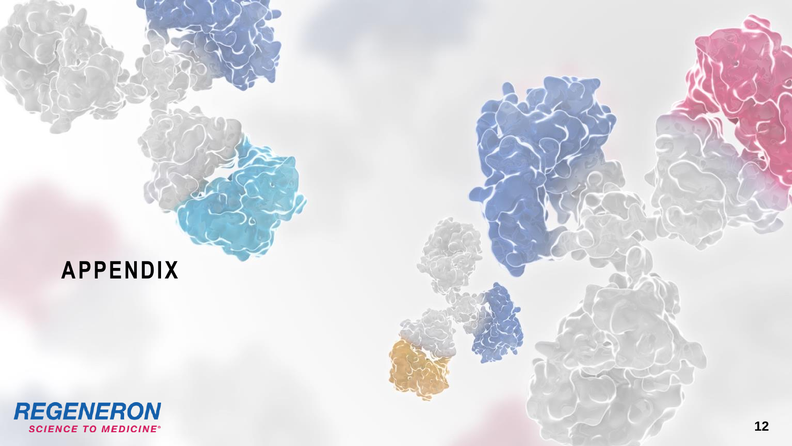## **APPENDIX**

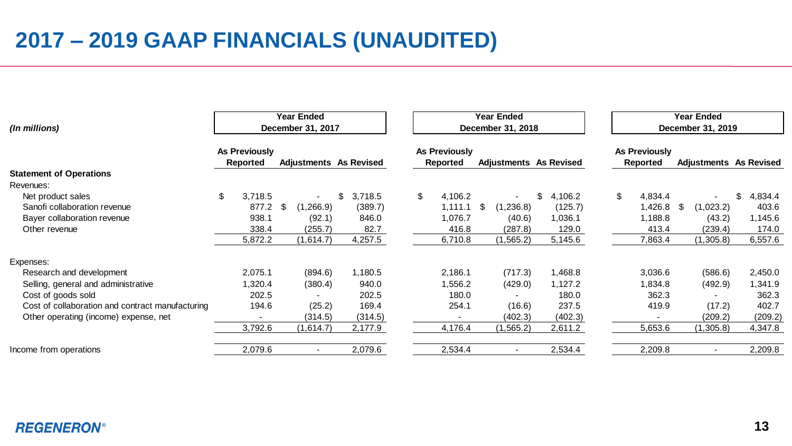## **2017 – 2019 GAAP FINANCIALS (UNAUDITED)**

| (In millions)                                    | Year Ended<br>Year Ended<br>December 31, 2017<br>December 31, 2018 |    |                          |                               |         |                           |      | <b>Year Ended</b><br>December 31, 2019 |    |         |                                  |                          |                        |                |    |         |
|--------------------------------------------------|--------------------------------------------------------------------|----|--------------------------|-------------------------------|---------|---------------------------|------|----------------------------------------|----|---------|----------------------------------|--------------------------|------------------------|----------------|----|---------|
|                                                  | As Previously<br>Reported                                          |    |                          | <b>Adjustments</b> As Revised |         | As Previously<br>Reported |      | <b>Adjustments</b> As Revised          |    |         | <b>As Previously</b><br>Reported |                          | Adjustments As Revised |                |    |         |
| <b>Statement of Operations</b>                   |                                                                    |    |                          |                               |         |                           |      |                                        |    |         |                                  |                          |                        |                |    |         |
| Revenues:                                        |                                                                    |    |                          |                               |         |                           |      |                                        |    |         |                                  |                          |                        |                |    |         |
| Net product sales                                | \$<br>3,718.5                                                      |    |                          |                               | 3,718.5 | \$<br>4,106.2             |      |                                        | \$ | 4,106.2 | \$                               | 4,834.4                  |                        |                | \$ | 4,834.4 |
| Sanofi collaboration revenue                     | 877.2                                                              | \$ | (1, 266.9)               |                               | (389.7) | 1,111.1                   | - \$ | (1, 236.8)                             |    | (125.7) |                                  | 1,426.8                  | -\$                    | (1,023.2)      |    | 403.6   |
| Bayer collaboration revenue                      | 938.1                                                              |    | (92.1)                   |                               | 846.0   | 1,076.7                   |      | (40.6)                                 |    | 1,036.1 |                                  | 1,188.8                  |                        | (43.2)         |    | 1,145.6 |
| Other revenue                                    | 338.4                                                              |    | (255.7)                  |                               | 82.7    | 416.8                     |      | (287.8)                                |    | 129.0   |                                  | 413.4                    |                        | (239.4)        |    | 174.0   |
|                                                  | 5,872.2                                                            |    | (1,614.7)                |                               | 4,257.5 | 6,710.8                   |      | (1, 565.2)                             |    | 5,145.6 |                                  | 7,863.4                  |                        | (1,305.8)      |    | 6,557.6 |
| Expenses:                                        |                                                                    |    |                          |                               |         |                           |      |                                        |    |         |                                  |                          |                        |                |    |         |
| Research and development                         | 2,075.1                                                            |    | (894.6)                  |                               | 1,180.5 | 2,186.1                   |      | (717.3)                                |    | 1,468.8 |                                  | 3,036.6                  |                        | (586.6)        |    | 2,450.0 |
| Selling, general and administrative              | 1,320.4                                                            |    | (380.4)                  |                               | 940.0   | 1,556.2                   |      | (429.0)                                |    | 1,127.2 |                                  | 1,834.8                  |                        | (492.9)        |    | 1,341.9 |
| Cost of goods sold                               | 202.5                                                              |    |                          |                               | 202.5   | 180.0                     |      |                                        |    | 180.0   |                                  | 362.3                    |                        |                |    | 362.3   |
| Cost of collaboration and contract manufacturing | 194.6                                                              |    | (25.2)                   |                               | 169.4   | 254.1                     |      | (16.6)                                 |    | 237.5   |                                  | 419.9                    |                        | (17.2)         |    | 402.7   |
| Other operating (income) expense, net            | $\blacksquare$                                                     |    | (314.5)                  |                               | (314.5) |                           |      | (402.3)                                |    | (402.3) |                                  | $\overline{\phantom{a}}$ |                        | (209.2)        |    | (209.2) |
|                                                  | 3,792.6                                                            |    | (1,614.7)                |                               | 2,177.9 | 4,176.4                   |      | (1, 565.2)                             |    | 2,611.2 |                                  | 5,653.6                  |                        | (1,305.8)      |    | 4,347.8 |
| Income from operations                           | 2,079.6                                                            |    | $\overline{\phantom{a}}$ |                               | 2,079.6 | 2,534.4                   |      |                                        |    | 2,534.4 |                                  | 2,209.8                  |                        | $\blacksquare$ |    | 2,209.8 |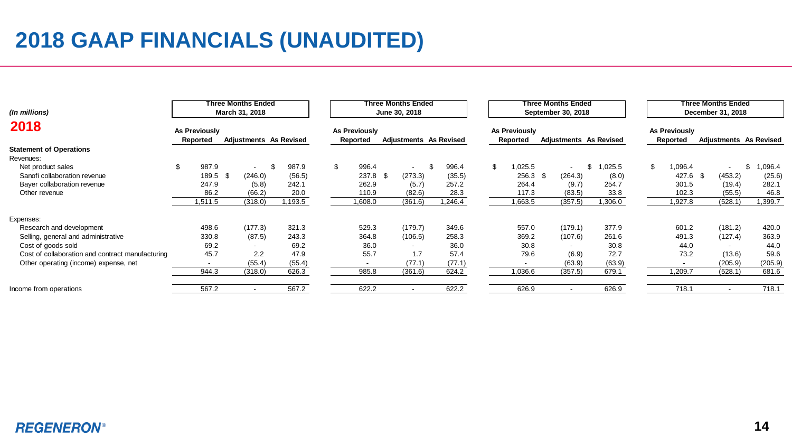## **2018 GAAP FINANCIALS (UNAUDITED)**

| Three Months Ended<br>March 31, 2018<br>(In millions) |     |                           |      |                               |  | Three Months Ended<br>June 30, 2018 |    |                           |      |                               |  | Three Months Ended<br>September 30, 2018 |  |                           |  |                          |                        | Three Months Ended<br>December 31, 2018 |                           |  |                          |                        |  |
|-------------------------------------------------------|-----|---------------------------|------|-------------------------------|--|-------------------------------------|----|---------------------------|------|-------------------------------|--|------------------------------------------|--|---------------------------|--|--------------------------|------------------------|-----------------------------------------|---------------------------|--|--------------------------|------------------------|--|
| 2018                                                  |     | As Previously<br>Reported |      | <b>Adjustments</b> As Revised |  |                                     |    | As Previously<br>Reported |      | <b>Adjustments</b> As Revised |  |                                          |  | As Previously<br>Reported |  |                          | Adjustments As Revised |                                         | As Previously<br>Reported |  |                          | Adjustments As Revised |  |
| <b>Statement of Operations</b>                        |     |                           |      |                               |  |                                     |    |                           |      |                               |  |                                          |  |                           |  |                          |                        |                                         |                           |  |                          |                        |  |
| Revenues:                                             |     |                           |      |                               |  |                                     |    |                           |      |                               |  |                                          |  |                           |  |                          |                        |                                         |                           |  |                          |                        |  |
| Net product sales                                     | \$. | 987.9                     |      |                               |  | 987.9                               | \$ | 996.4                     |      | $\sim$                        |  | 996.4                                    |  | 0.025.5                   |  | $\overline{\phantom{a}}$ | 025.5                  | \$                                      | .096.4                    |  | $\overline{\phantom{a}}$ | \$<br>1,096.4          |  |
| Sanofi collaboration revenue                          |     | 189.5                     | - \$ | (246.0)                       |  | (56.5)                              |    | 237.8                     | - \$ | (273.3)                       |  | (35.5)                                   |  | 256.3 \$                  |  | (264.3)                  | (8.0)                  |                                         | 427.6 \$                  |  | (453.2)                  | (25.6)                 |  |
| Bayer collaboration revenue                           |     | 247.9                     |      | (5.8)                         |  | 242.1                               |    | 262.9                     |      | (5.7)                         |  | 257.2                                    |  | 264.4                     |  | (9.7)                    | 254.7                  |                                         | 301.5                     |  | (19.4)                   | 282.1                  |  |
| Other revenue                                         |     | 86.2                      |      | (66.2)                        |  | 20.0                                |    | 110.9                     |      | (82.6)                        |  | 28.3                                     |  | 117.3                     |  | (83.5)                   | 33.8                   |                                         | 102.3                     |  | (55.5)                   | 46.8                   |  |
|                                                       |     | 1,511.5                   |      | (318.0)                       |  | 1,193.5                             |    | 1,608.0                   |      | (361.6)                       |  | ,246.4                                   |  | 1,663.5                   |  | (357.5)                  | 1,306.0                |                                         | .927.8                    |  | (528.1)                  | 1,399.7                |  |
| Expenses:                                             |     |                           |      |                               |  |                                     |    |                           |      |                               |  |                                          |  |                           |  |                          |                        |                                         |                           |  |                          |                        |  |
| Research and development                              |     | 498.6                     |      | (177.3)                       |  | 321.3                               |    | 529.3                     |      | (179.7)                       |  | 349.6                                    |  | 557.0                     |  | (179.1)                  | 377.9                  |                                         | 601.2                     |  | (181.2)                  | 420.0                  |  |
| Selling, general and administrative                   |     | 330.8                     |      | (87.5)                        |  | 243.3                               |    | 364.8                     |      | (106.5)                       |  | 258.3                                    |  | 369.2                     |  | (107.6)                  | 261.6                  |                                         | 491.3                     |  | (127.4)                  | 363.9                  |  |
| Cost of goods sold                                    |     | 69.2                      |      | $\overline{\phantom{a}}$      |  | 69.2                                |    | 36.0                      |      |                               |  | 36.0                                     |  | 30.8                      |  | $\blacksquare$           | 30.8                   |                                         | 44.0                      |  | $\overline{\phantom{a}}$ | 44.0                   |  |
| Cost of collaboration and contract manufacturing      |     | 45.7                      |      | 2.2                           |  | 47.9                                |    | 55.7                      |      | 1.7                           |  | 57.4                                     |  | 79.6                      |  | (6.9)                    | 72.7                   |                                         | 73.2                      |  | (13.6)                   | 59.6                   |  |
| Other operating (income) expense, net                 |     | $\overline{\phantom{a}}$  |      | (55.4)                        |  | (55.4)                              |    | ۰                         |      | (77.1)                        |  | (77.1)                                   |  |                           |  | (63.9)                   | (63.9)                 |                                         | $\overline{\phantom{a}}$  |  | (205.9)                  | (205.9)                |  |
|                                                       |     | 944.3                     |      | (318.0)                       |  | 626.3                               |    | 985.8                     |      | (361.6)                       |  | 624.2                                    |  | 1,036.6                   |  | (357.5)                  | 679.1                  |                                         | 1,209.7                   |  | (528.1)                  | 681.6                  |  |
| Income from operations                                |     | 567.2                     |      |                               |  | 567.2                               |    | 622.2                     |      |                               |  | 622.2                                    |  | 626.9                     |  | $\overline{\phantom{a}}$ | 626.9                  |                                         | 718.1                     |  | $\overline{\phantom{a}}$ | 718.1                  |  |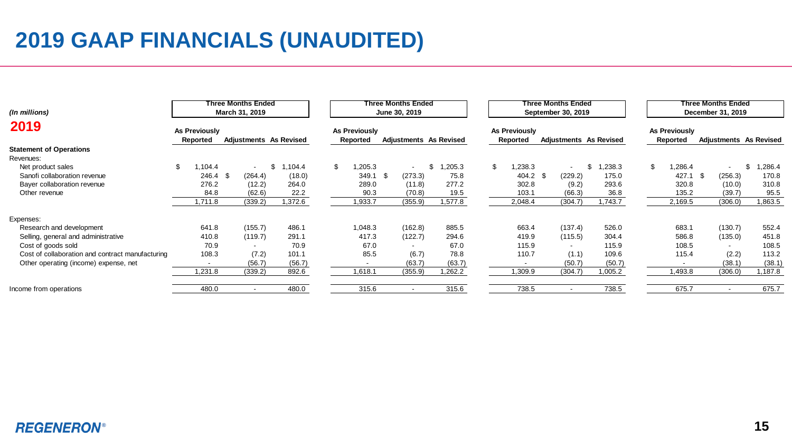## **2019 GAAP FINANCIALS (UNAUDITED)**

| (In millions)                                    | Three Months Ended<br>March 31, 2019 |                           |      |         |                               | Three Months Ended<br>June 30, 2019 |      |                          |                        |     | <b>Three Months Ended</b><br>September 30, 2019 |  |                          |                        |    |                           | Three Months Ended<br>December 31, 2019 |                        |  |  |  |  |
|--------------------------------------------------|--------------------------------------|---------------------------|------|---------|-------------------------------|-------------------------------------|------|--------------------------|------------------------|-----|-------------------------------------------------|--|--------------------------|------------------------|----|---------------------------|-----------------------------------------|------------------------|--|--|--|--|
| 2019                                             |                                      | As Previously<br>Reported |      |         | <b>Adjustments</b> As Revised | As Previously<br>Reported           |      |                          | Adjustments As Revised |     | As Previously<br>Reported                       |  |                          | Adjustments As Revised |    | As Previously<br>Reported |                                         | Adjustments As Revised |  |  |  |  |
| <b>Statement of Operations</b>                   |                                      |                           |      |         |                               |                                     |      |                          |                        |     |                                                 |  |                          |                        |    |                           |                                         |                        |  |  |  |  |
| Revenues:                                        |                                      |                           |      |         |                               |                                     |      |                          |                        |     |                                                 |  |                          |                        |    |                           |                                         |                        |  |  |  |  |
| Net product sales                                | \$                                   | ,104.4                    |      |         | 104.4                         | \$<br>,205.3                        |      | $\sim$                   | ,205.3                 | \$. | ,238.3                                          |  | $\blacksquare$           | ,238.3<br>\$           | \$ | 1,286.4                   | $\overline{\phantom{a}}$                | ,286.4<br>\$           |  |  |  |  |
| Sanofi collaboration revenue                     |                                      | 246.4                     | - \$ | (264.4) | (18.0)                        | 349.1                               | - \$ | (273.3)                  | 75.8                   |     | $404.2$ \$                                      |  | (229.2)                  | 175.0                  |    | 427.1                     | (256.3)<br>- \$                         | 170.8                  |  |  |  |  |
| Bayer collaboration revenue                      |                                      | 276.2                     |      | (12.2)  | 264.0                         | 289.0                               |      | (11.8)                   | 277.2                  |     | 302.8                                           |  | (9.2)                    | 293.6                  |    | 320.8                     | (10.0)                                  | 310.8                  |  |  |  |  |
| Other revenue                                    |                                      | 84.8                      |      | (62.6)  | 22.2                          | 90.3                                |      | (70.8)                   | 19.5                   |     | 103.1                                           |  | (66.3)                   | 36.8                   |    | 135.2                     | (39.7)                                  | 95.5                   |  |  |  |  |
|                                                  |                                      | 1,711.8                   |      | (339.2) | 1,372.6                       | 1,933.7                             |      | (355.9)                  | 1,577.8                |     | 2,048.4                                         |  | (304.7)                  | 1,743.7                |    | 2,169.5                   | (306.0)                                 | 1,863.5                |  |  |  |  |
| Expenses:                                        |                                      |                           |      |         |                               |                                     |      |                          |                        |     |                                                 |  |                          |                        |    |                           |                                         |                        |  |  |  |  |
| Research and development                         |                                      | 641.8                     |      | (155.7) | 486.1                         | 1,048.3                             |      | (162.8)                  | 885.5                  |     | 663.4                                           |  | (137.4)                  | 526.0                  |    | 683.1                     | (130.7)                                 | 552.4                  |  |  |  |  |
| Selling, general and administrative              |                                      | 410.8                     |      | (119.7) | 291.1                         | 417.3                               |      | (122.7)                  | 294.6                  |     | 419.9                                           |  | (115.5)                  | 304.4                  |    | 586.8                     | (135.0)                                 | 451.8                  |  |  |  |  |
| Cost of goods sold                               |                                      | 70.9                      |      |         | 70.9                          | 67.0                                |      |                          | 67.0                   |     | 115.9                                           |  | $\overline{\phantom{a}}$ | 115.9                  |    | 108.5                     | $\overline{\phantom{0}}$                | 108.5                  |  |  |  |  |
| Cost of collaboration and contract manufacturing |                                      | 108.3                     |      | (7.2)   | 101.1                         | 85.5                                |      | (6.7)                    | 78.8                   |     | 110.7                                           |  | (1.1)                    | 109.6                  |    | 115.4                     | (2.2)                                   | 113.2                  |  |  |  |  |
| Other operating (income) expense, net            |                                      | $\overline{\phantom{a}}$  |      | (56.7)  | (56.7)                        | $\overline{\phantom{a}}$            |      | (63.7)                   | (63.7)                 |     |                                                 |  | (50.7)                   | (50.7)                 |    |                           | (38.1)                                  | (38.1)                 |  |  |  |  |
|                                                  |                                      | 1,231.8                   |      | (339.2) | 892.6                         | 1,618.1                             |      | (355.9)                  | 1,262.2                |     | 1,309.9                                         |  | (304.7)                  | 1,005.2                |    | 1,493.8                   | (306.0)                                 | 1,187.8                |  |  |  |  |
| Income from operations                           |                                      | 480.0                     |      |         | 480.0                         | 315.6                               |      | $\overline{\phantom{0}}$ | 315.6                  |     | 738.5                                           |  | $\overline{\phantom{a}}$ | 738.5                  |    | 675.7                     | $\overline{\phantom{a}}$                | 675.7                  |  |  |  |  |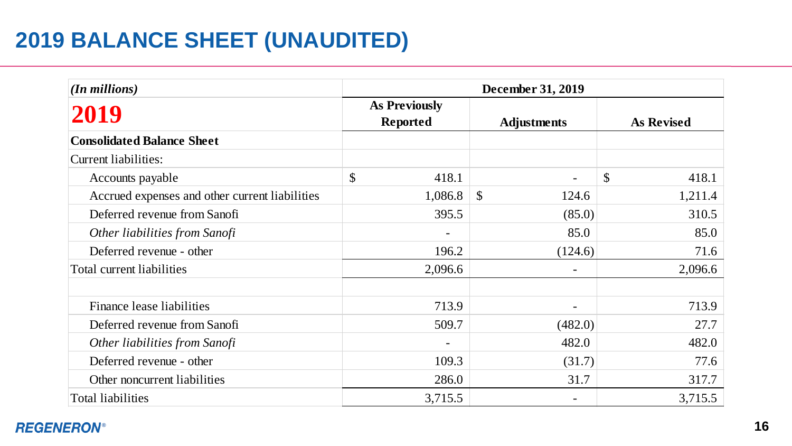## **2019 BALANCE SHEET (UNAUDITED)**

| (In millions)                                  | December 31, 2019 |                                         |                       |    |                   |  |  |  |  |  |  |  |
|------------------------------------------------|-------------------|-----------------------------------------|-----------------------|----|-------------------|--|--|--|--|--|--|--|
| 2019                                           |                   | <b>As Previously</b><br><b>Reported</b> | <b>Adjustments</b>    |    | <b>As Revised</b> |  |  |  |  |  |  |  |
| <b>Consolidated Balance Sheet</b>              |                   |                                         |                       |    |                   |  |  |  |  |  |  |  |
| <b>Current liabilities:</b>                    |                   |                                         |                       |    |                   |  |  |  |  |  |  |  |
| Accounts payable                               | \$                | 418.1                                   |                       | \$ | 418.1             |  |  |  |  |  |  |  |
| Accrued expenses and other current liabilities |                   | 1,086.8                                 | $\mathbb{S}$<br>124.6 |    | 1,211.4           |  |  |  |  |  |  |  |
| Deferred revenue from Sanofi                   |                   | 395.5                                   | (85.0)                |    | 310.5             |  |  |  |  |  |  |  |
| Other liabilities from Sanofi                  |                   |                                         | 85.0                  |    | 85.0              |  |  |  |  |  |  |  |
| Deferred revenue - other                       |                   | 196.2                                   | (124.6)               |    | 71.6              |  |  |  |  |  |  |  |
| Total current liabilities                      |                   | 2,096.6                                 |                       |    | 2,096.6           |  |  |  |  |  |  |  |
| Finance lease liabilities                      |                   | 713.9                                   |                       |    | 713.9             |  |  |  |  |  |  |  |
| Deferred revenue from Sanofi                   |                   | 509.7                                   | (482.0)               |    | 27.7              |  |  |  |  |  |  |  |
| Other liabilities from Sanofi                  |                   |                                         | 482.0                 |    | 482.0             |  |  |  |  |  |  |  |
| Deferred revenue - other                       |                   | 109.3                                   | (31.7)                |    | 77.6              |  |  |  |  |  |  |  |
| Other noncurrent liabilities                   |                   | 286.0                                   | 31.7                  |    | 317.7             |  |  |  |  |  |  |  |
| Total liabilities                              |                   | 3,715.5                                 |                       |    | 3,715.5           |  |  |  |  |  |  |  |